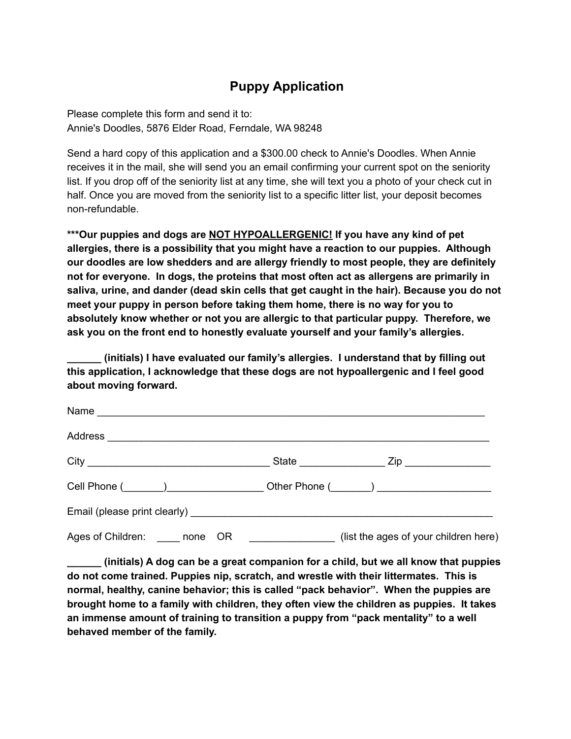## **Puppy Application**

Please complete this form and send it to: Annie's Doodles, 5876 Elder Road, Ferndale, WA 98248

Send a hard copy of this application and a \$300.00 check to Annie's Doodles. When Annie receives it in the mail, she will send you an email confirming your current spot on the seniority list. If you drop off of the seniority list at any time, she will text you a photo of your check cut in half. Once you are moved from the seniority list to a specific litter list, your deposit becomes non-refundable.

**\*\*\*Our puppies and dogs are NOT HYPOALLERGENIC! If you have any kind of pet allergies, there is a possibility that you might have a reaction to our puppies. Although our doodles are low shedders and are allergy friendly to most people, they are definitely not for everyone. In dogs, the proteins that most often act as allergens are primarily in saliva, urine, and dander (dead skin cells that get caught in the hair). Because you do not meet your puppy in person before taking them home, there is no way for you to absolutely know whether or not you are allergic to that particular puppy. Therefore, we ask you on the front end to honestly evaluate yourself and your family's allergies.**

**\_\_\_\_\_\_ (initials) I have evaluated our family's allergies. I understand that by filling out this application, I acknowledge that these dogs are not hypoallergenic and I feel good about moving forward.**

| Ages of Children: none OR | (list the ages of your children here) |
|---------------------------|---------------------------------------|

**\_\_\_\_\_\_ (initials) A dog can be a great companion for a child, but we all know that puppies do not come trained. Puppies nip, scratch, and wrestle with their littermates. This is normal, healthy, canine behavior; this is called "pack behavior". When the puppies are brought home to a family with children, they often view the children as puppies. It takes an immense amount of training to transition a puppy from "pack mentality" to a well behaved member of the family.**